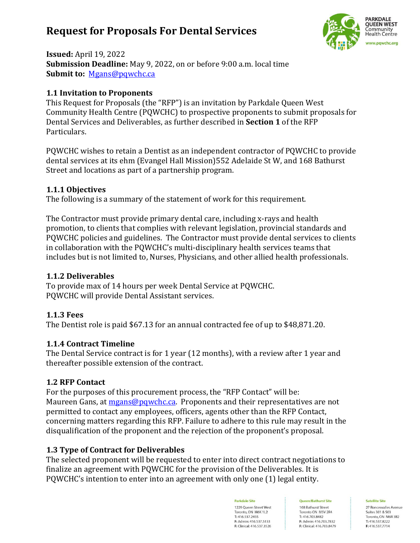# **Request for Proposals For Dental Services**



**Issued:** April 19, 2022 **Submission Deadline:** May 9, 2022, on or before 9:00 a.m. local time **Submit to:** [Mgans@pqwchc.ca](mailto:Mgans@pqwchc.ca)

# **1.1 Invitation to Proponents**

This Request for Proposals (the "RFP") is an invitation by Parkdale Queen West Community Health Centre (PQWCHC) to prospective proponents to submit proposals for Dental Services and Deliverables, as further described in **Section 1** of the RFP Particulars.

PQWCHC wishes to retain a Dentist as an independent contractor of PQWCHC to provide dental services at its ehm (Evangel Hall Mission)552 Adelaide St W, and 168 Bathurst Street and locations as part of a partnership program.

### **1.1.1 Objectives**

The following is a summary of the statement of work for this requirement.

The Contractor must provide primary dental care, including x-rays and health promotion, to clients that complies with relevant legislation, provincial standards and PQWCHC policies and guidelines. The Contractor must provide dental services to clients in collaboration with the PQWCHC's multi-disciplinary health services teams that includes but is not limited to, Nurses, Physicians, and other allied health professionals.

### **1.1.2 Deliverables**

To provide max of 14 hours per week Dental Service at PQWCHC. PQWCHC will provide Dental Assistant services.

# **1.1.3 Fees**

The Dentist role is paid \$67.13 for an annual contracted fee of up to \$48,871.20.

# **1.1.4 Contract Timeline**

The Dental Service contract is for 1 year (12 months), with a review after 1 year and thereafter possible extension of the contract.

# **1.2 RFP Contact**

For the purposes of this procurement process, the "RFP Contact" will be: Maureen Gans, at [mgans@pqwchc.ca.](mailto:mgans@pqwchc.ca) Proponents and their representatives are not permitted to contact any employees, officers, agents other than the RFP Contact, concerning matters regarding this RFP. Failure to adhere to this rule may result in the disqualification of the proponent and the rejection of the proponent's proposal.

# **1.3 Type of Contract for Deliverables**

The selected proponent will be requested to enter into direct contract negotiations to finalize an agreement with PQWCHC for the provision of the Deliverables. It is PQWCHC's intention to enter into an agreement with only one (1) legal entity.

Parkdale Site

1229 Queen Street West Toronto, ON M6K 1L2 T: 416.537.2455 F: Admin: 416.537.5133 F: Clinical: 416.537.3526

Queen/Bathurst Site 168 Bathurst Street Toronto ON M5V 2R4 T: 416.703.8482 F: Admin: 416.703.7832 F: Clinical: 416.703.8479

#### **Satellite Site**

27 Roncesvalles Avenue Suites 301 & 503 Toronto, ON M6R 3B2 T: 416,537,8222 F: 416,537,7714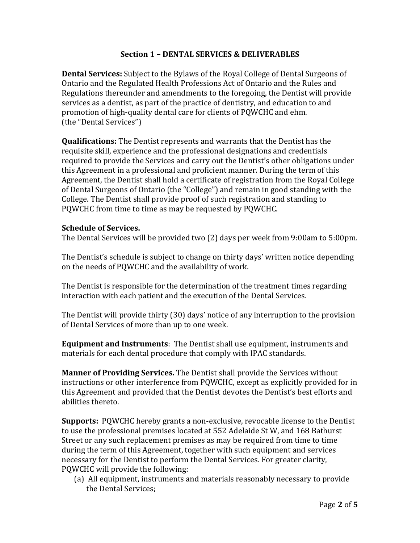### **Section 1 – DENTAL SERVICES & DELIVERABLES**

**Dental Services:** Subject to the Bylaws of the Royal College of Dental Surgeons of Ontario and the Regulated Health Professions Act of Ontario and the Rules and Regulations thereunder and amendments to the foregoing, the Dentist will provide services as a dentist, as part of the practice of dentistry, and education to and promotion of high-quality dental care for clients of PQWCHC and ehm. (the "Dental Services")

**Qualifications:** The Dentist represents and warrants that the Dentist has the requisite skill, experience and the professional designations and credentials required to provide the Services and carry out the Dentist's other obligations under this Agreement in a professional and proficient manner. During the term of this Agreement, the Dentist shall hold a certificate of registration from the Royal College of Dental Surgeons of Ontario (the "College") and remain in good standing with the College. The Dentist shall provide proof of such registration and standing to PQWCHC from time to time as may be requested by PQWCHC.

### **Schedule of Services.**

The Dental Services will be provided two (2) days per week from 9:00am to 5:00pm.

The Dentist's schedule is subject to change on thirty days' written notice depending on the needs of PQWCHC and the availability of work.

The Dentist is responsible for the determination of the treatment times regarding interaction with each patient and the execution of the Dental Services.

The Dentist will provide thirty (30) days' notice of any interruption to the provision of Dental Services of more than up to one week.

**Equipment and Instruments**: The Dentist shall use equipment, instruments and materials for each dental procedure that comply with IPAC standards.

**Manner of Providing Services.** The Dentist shall provide the Services without instructions or other interference from PQWCHC, except as explicitly provided for in this Agreement and provided that the Dentist devotes the Dentist's best efforts and abilities thereto.

**Supports:** PQWCHC hereby grants a non-exclusive, revocable license to the Dentist to use the professional premises located at 552 Adelaide St W, and 168 Bathurst Street or any such replacement premises as may be required from time to time during the term of this Agreement, together with such equipment and services necessary for the Dentist to perform the Dental Services. For greater clarity, PQWCHC will provide the following:

(a) All equipment, instruments and materials reasonably necessary to provide the Dental Services;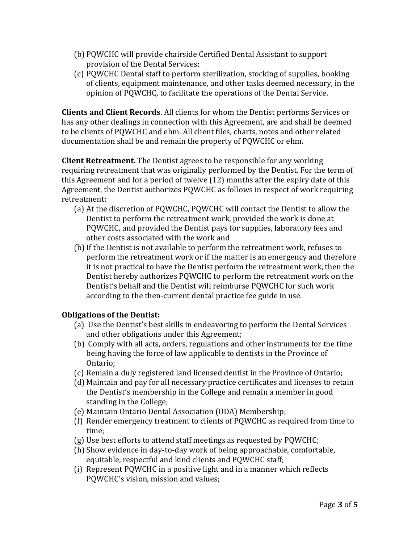- (b) PQWCHC will provide chairside Certified Dental Assistant to support provision of the Dental Services;
- (c) PQWCHC Dental staff to perform sterilization, stocking of supplies, booking of clients, equipment maintenance, and other tasks deemed necessary, in the opinion of PQWCHC, to facilitate the operations of the Dental Service.

**Clients and Client Records**. All clients for whom the Dentist performs Services or has any other dealings in connection with this Agreement, are and shall be deemed to be clients of PQWCHC and ehm. All client files, charts, notes and other related documentation shall be and remain the property of PQWCHC or ehm.

**Client Retreatment.** The Dentist agrees to be responsible for any working requiring retreatment that was originally performed by the Dentist. For the term of this Agreement and for a period of twelve (12) months after the expiry date of this Agreement, the Dentist authorizes PQWCHC as follows in respect of work requiring retreatment:

- (a) At the discretion of PQWCHC, PQWCHC will contact the Dentist to allow the Dentist to perform the retreatment work, provided the work is done at PQWCHC, and provided the Dentist pays for supplies, laboratory fees and other costs associated with the work and
- (b)If the Dentist is not available to perform the retreatment work, refuses to perform the retreatment work or if the matter is an emergency and therefore it is not practical to have the Dentist perform the retreatment work, then the Dentist hereby authorizes PQWCHC to perform the retreatment work on the Dentist's behalf and the Dentist will reimburse PQWCHC for such work according to the then-current dental practice fee guide in use.

# **Obligations of the Dentist:**

- (a) Use the Dentist's best skills in endeavoring to perform the Dental Services and other obligations under this Agreement;
- (b) Comply with all acts, orders, regulations and other instruments for the time being having the force of law applicable to dentists in the Province of Ontario;
- (c) Remain a duly registered land licensed dentist in the Province of Ontario;
- (d) Maintain and pay for all necessary practice certificates and licenses to retain the Dentist's membership in the College and remain a member in good standing in the College;
- (e) Maintain Ontario Dental Association (ODA) Membership;
- (f) Render emergency treatment to clients of PQWCHC as required from time to time;
- (g) Use best efforts to attend staff meetings as requested by PQWCHC;
- (h) Show evidence in day-to-day work of being approachable, comfortable, equitable, respectful and kind clients and PQWCHC staff;
- (i) Represent PQWCHC in a positive light and in a manner which reflects PQWCHC's vision, mission and values;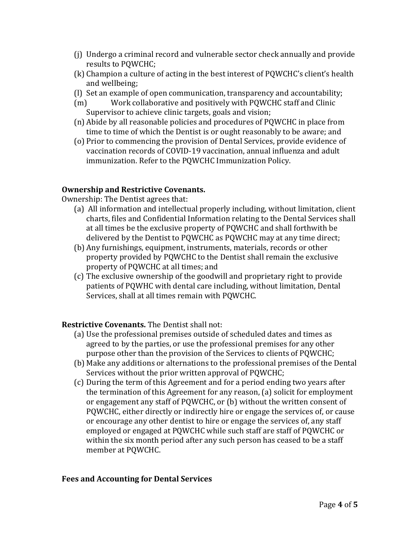- (j) Undergo a criminal record and vulnerable sector check annually and provide results to PQWCHC;
- (k) Champion a culture of acting in the best interest of PQWCHC's client's health and wellbeing;
- (l) Set an example of open communication, transparency and accountability;
- (m) Work collaborative and positively with PQWCHC staff and Clinic Supervisor to achieve clinic targets, goals and vision;
- (n) Abide by all reasonable policies and procedures of PQWCHC in place from time to time of which the Dentist is or ought reasonably to be aware; and
- (o) Prior to commencing the provision of Dental Services, provide evidence of vaccination records of COVID-19 vaccination, annual influenza and adult immunization. Refer to the PQWCHC Immunization Policy.

# **Ownership and Restrictive Covenants.**

Ownership: The Dentist agrees that:

- (a) All information and intellectual properly including, without limitation, client charts, files and Confidential Information relating to the Dental Services shall at all times be the exclusive property of PQWCHC and shall forthwith be delivered by the Dentist to PQWCHC as PQWCHC may at any time direct;
- (b) Any furnishings, equipment, instruments, materials, records or other property provided by PQWCHC to the Dentist shall remain the exclusive property of PQWCHC at all times; and
- (c) The exclusive ownership of the goodwill and proprietary right to provide patients of PQWHC with dental care including, without limitation, Dental Services, shall at all times remain with PQWCHC.

# **Restrictive Covenants.** The Dentist shall not:

- (a) Use the professional premises outside of scheduled dates and times as agreed to by the parties, or use the professional premises for any other purpose other than the provision of the Services to clients of PQWCHC;
- (b) Make any additions or alternations to the professional premises of the Dental Services without the prior written approval of PQWCHC;
- (c) During the term of this Agreement and for a period ending two years after the termination of this Agreement for any reason, (a) solicit for employment or engagement any staff of PQWCHC, or (b) without the written consent of PQWCHC, either directly or indirectly hire or engage the services of, or cause or encourage any other dentist to hire or engage the services of, any staff employed or engaged at PQWCHC while such staff are staff of PQWCHC or within the six month period after any such person has ceased to be a staff member at PQWCHC.

# **Fees and Accounting for Dental Services**